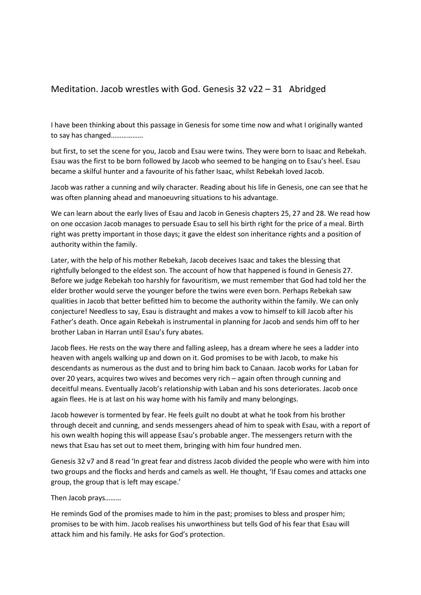## Meditation. Jacob wrestles with God. Genesis 32 v22 – 31 Abridged

I have been thinking about this passage in Genesis for some time now and what I originally wanted to say has changed………………

but first, to set the scene for you, Jacob and Esau were twins. They were born to Isaac and Rebekah. Esau was the first to be born followed by Jacob who seemed to be hanging on to Esau's heel. Esau became a skilful hunter and a favourite of his father Isaac, whilst Rebekah loved Jacob.

Jacob was rather a cunning and wily character. Reading about his life in Genesis, one can see that he was often planning ahead and manoeuvring situations to his advantage.

We can learn about the early lives of Esau and Jacob in Genesis chapters 25, 27 and 28. We read how on one occasion Jacob manages to persuade Esau to sell his birth right for the price of a meal. Birth right was pretty important in those days; it gave the eldest son inheritance rights and a position of authority within the family.

Later, with the help of his mother Rebekah, Jacob deceives Isaac and takes the blessing that rightfully belonged to the eldest son. The account of how that happened is found in Genesis 27. Before we judge Rebekah too harshly for favouritism, we must remember that God had told her the elder brother would serve the younger before the twins were even born. Perhaps Rebekah saw qualities in Jacob that better befitted him to become the authority within the family. We can only conjecture! Needless to say, Esau is distraught and makes a vow to himself to kill Jacob after his Father's death. Once again Rebekah is instrumental in planning for Jacob and sends him off to her brother Laban in Harran until Esau's fury abates.

Jacob flees. He rests on the way there and falling asleep, has a dream where he sees a ladder into heaven with angels walking up and down on it. God promises to be with Jacob, to make his descendants as numerous as the dust and to bring him back to Canaan. Jacob works for Laban for over 20 years, acquires two wives and becomes very rich – again often through cunning and deceitful means. Eventually Jacob's relationship with Laban and his sons deteriorates. Jacob once again flees. He is at last on his way home with his family and many belongings.

Jacob however is tormented by fear. He feels guilt no doubt at what he took from his brother through deceit and cunning, and sends messengers ahead of him to speak with Esau, with a report of his own wealth hoping this will appease Esau's probable anger. The messengers return with the news that Esau has set out to meet them, bringing with him four hundred men.

Genesis 32 v7 and 8 read 'In great fear and distress Jacob divided the people who were with him into two groups and the flocks and herds and camels as well. He thought, 'If Esau comes and attacks one group, the group that is left may escape.'

Then Jacob prays………

He reminds God of the promises made to him in the past; promises to bless and prosper him; promises to be with him. Jacob realises his unworthiness but tells God of his fear that Esau will attack him and his family. He asks for God's protection.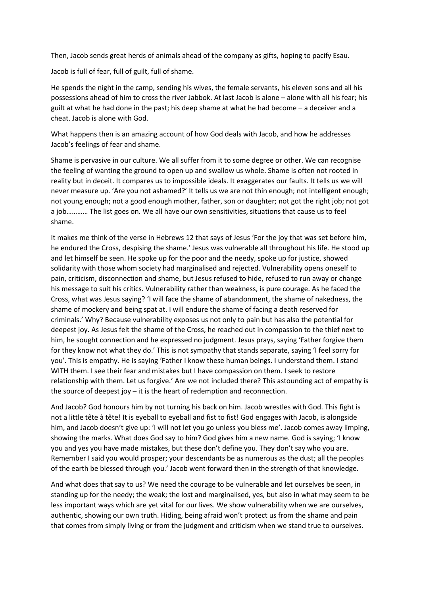Then, Jacob sends great herds of animals ahead of the company as gifts, hoping to pacify Esau.

Jacob is full of fear, full of guilt, full of shame.

He spends the night in the camp, sending his wives, the female servants, his eleven sons and all his possessions ahead of him to cross the river Jabbok. At last Jacob is alone – alone with all his fear; his guilt at what he had done in the past; his deep shame at what he had become – a deceiver and a cheat. Jacob is alone with God.

What happens then is an amazing account of how God deals with Jacob, and how he addresses Jacob's feelings of fear and shame.

Shame is pervasive in our culture. We all suffer from it to some degree or other. We can recognise the feeling of wanting the ground to open up and swallow us whole. Shame is often not rooted in reality but in deceit. It compares us to impossible ideals. It exaggerates our faults. It tells us we will never measure up. 'Are you not ashamed?' It tells us we are not thin enough; not intelligent enough; not young enough; not a good enough mother, father, son or daughter; not got the right job; not got a job………… The list goes on. We all have our own sensitivities, situations that cause us to feel shame.

It makes me think of the verse in Hebrews 12 that says of Jesus 'For the joy that was set before him, he endured the Cross, despising the shame.' Jesus was vulnerable all throughout his life. He stood up and let himself be seen. He spoke up for the poor and the needy, spoke up for justice, showed solidarity with those whom society had marginalised and rejected. Vulnerability opens oneself to pain, criticism, disconnection and shame, but Jesus refused to hide, refused to run away or change his message to suit his critics. Vulnerability rather than weakness, is pure courage. As he faced the Cross, what was Jesus saying? 'I will face the shame of abandonment, the shame of nakedness, the shame of mockery and being spat at. I will endure the shame of facing a death reserved for criminals.' Why? Because vulnerability exposes us not only to pain but has also the potential for deepest joy. As Jesus felt the shame of the Cross, he reached out in compassion to the thief next to him, he sought connection and he expressed no judgment. Jesus prays, saying 'Father forgive them for they know not what they do.' This is not sympathy that stands separate, saying 'I feel sorry for you'. This is empathy. He is saying 'Father I know these human beings. I understand them. I stand WITH them. I see their fear and mistakes but I have compassion on them. I seek to restore relationship with them. Let us forgive.' Are we not included there? This astounding act of empathy is the source of deepest joy – it is the heart of redemption and reconnection.

And Jacob? God honours him by not turning his back on him. Jacob wrestles with God. This fight is not a little tête à tête! It is eyeball to eyeball and fist to fist! God engages with Jacob, is alongside him, and Jacob doesn't give up: 'I will not let you go unless you bless me'. Jacob comes away limping, showing the marks. What does God say to him? God gives him a new name. God is saying; 'I know you and yes you have made mistakes, but these don't define you. They don't say who you are. Remember I said you would prosper; your descendants be as numerous as the dust; all the peoples of the earth be blessed through you.' Jacob went forward then in the strength of that knowledge.

And what does that say to us? We need the courage to be vulnerable and let ourselves be seen, in standing up for the needy; the weak; the lost and marginalised, yes, but also in what may seem to be less important ways which are yet vital for our lives. We show vulnerability when we are ourselves, authentic, showing our own truth. Hiding, being afraid won't protect us from the shame and pain that comes from simply living or from the judgment and criticism when we stand true to ourselves.